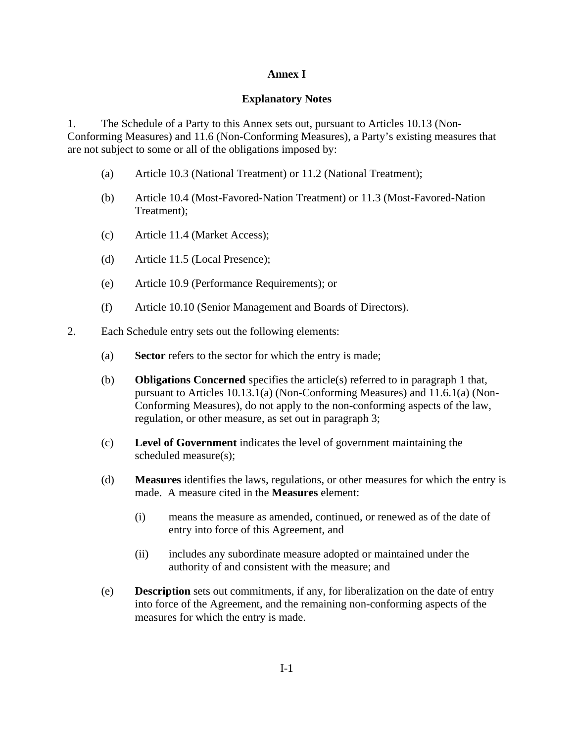## **Annex I**

## **Explanatory Notes**

1. The Schedule of a Party to this Annex sets out, pursuant to Articles 10.13 (Non-Conforming Measures) and 11.6 (Non-Conforming Measures), a Party's existing measures that are not subject to some or all of the obligations imposed by:

- (a) Article 10.3 (National Treatment) or 11.2 (National Treatment);
- (b) Article 10.4 (Most-Favored-Nation Treatment) or 11.3 (Most-Favored-Nation Treatment);
- (c) Article 11.4 (Market Access);
- (d) Article 11.5 (Local Presence);
- (e) Article 10.9 (Performance Requirements); or
- (f) Article 10.10 (Senior Management and Boards of Directors).
- 2. Each Schedule entry sets out the following elements:
	- (a) **Sector** refers to the sector for which the entry is made;
	- (b) **Obligations Concerned** specifies the article(s) referred to in paragraph 1 that, pursuant to Articles 10.13.1(a) (Non-Conforming Measures) and 11.6.1(a) (Non-Conforming Measures), do not apply to the non-conforming aspects of the law, regulation, or other measure, as set out in paragraph 3;
	- (c) **Level of Government** indicates the level of government maintaining the scheduled measure(s);
	- (d) **Measures** identifies the laws, regulations, or other measures for which the entry is made. A measure cited in the **Measures** element:
		- (i) means the measure as amended, continued, or renewed as of the date of entry into force of this Agreement, and
		- (ii) includes any subordinate measure adopted or maintained under the authority of and consistent with the measure; and
	- (e) **Description** sets out commitments, if any, for liberalization on the date of entry into force of the Agreement, and the remaining non-conforming aspects of the measures for which the entry is made.